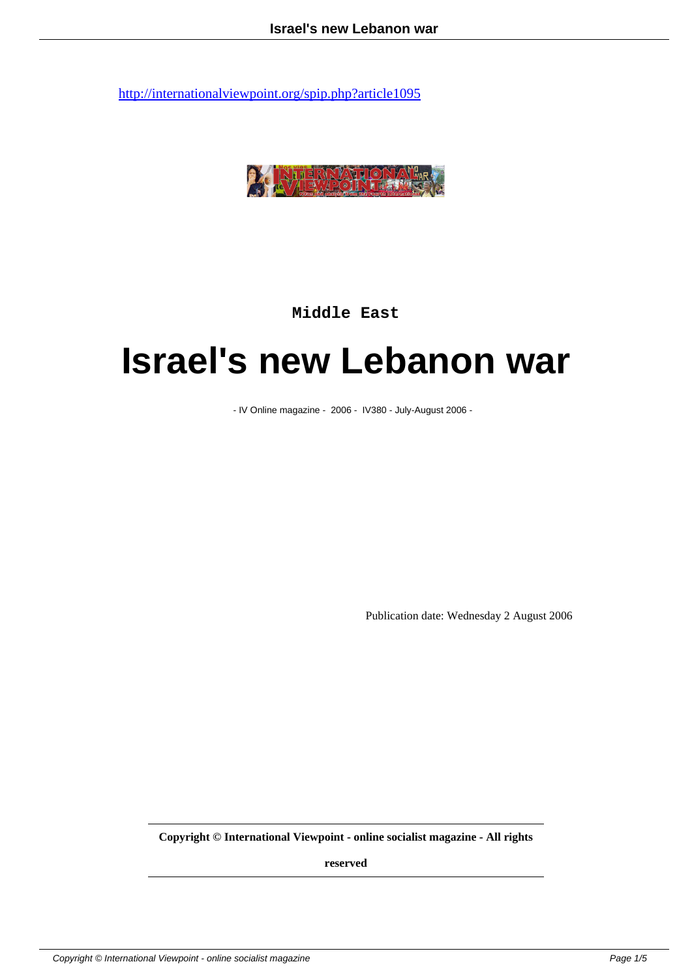

**Middle East**

## **Israel's new Lebanon war**

- IV Online magazine - 2006 - IV380 - July-August 2006 -

Publication date: Wednesday 2 August 2006

**Copyright © International Viewpoint - online socialist magazine - All rights**

**reserved**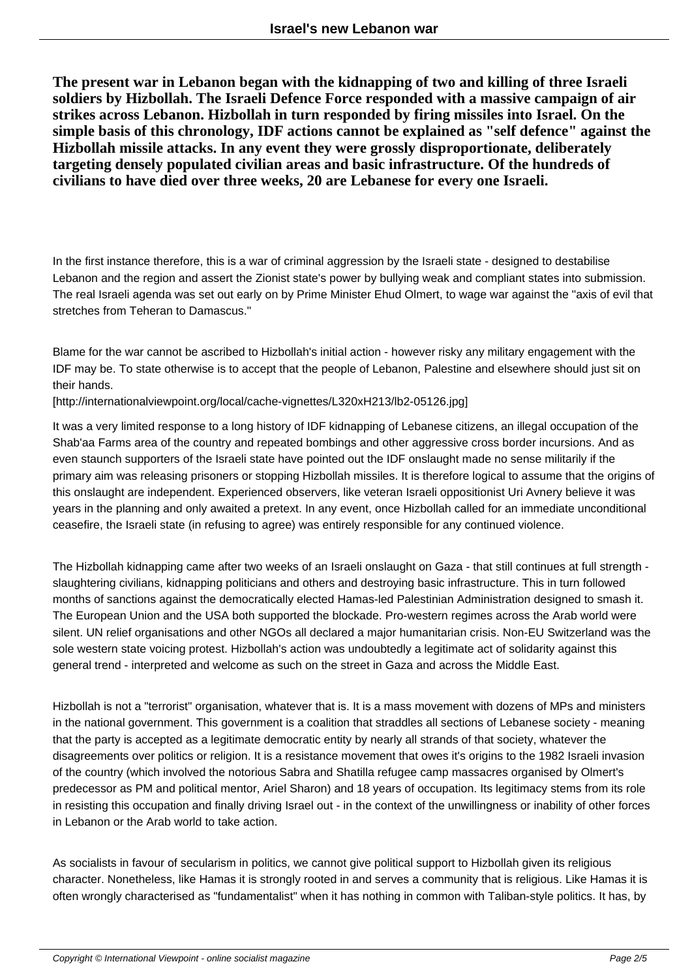**The present war in Lebanon began with the kidnapping of two and killing of three Israeli soldiers by Hizbollah. The Israeli Defence Force responded with a massive campaign of air strikes across Lebanon. Hizbollah in turn responded by firing missiles into Israel. On the simple basis of this chronology, IDF actions cannot be explained as "self defence" against the Hizbollah missile attacks. In any event they were grossly disproportionate, deliberately targeting densely populated civilian areas and basic infrastructure. Of the hundreds of civilians to have died over three weeks, 20 are Lebanese for every one Israeli.**

In the first instance therefore, this is a war of criminal aggression by the Israeli state - designed to destabilise Lebanon and the region and assert the Zionist state's power by bullying weak and compliant states into submission. The real Israeli agenda was set out early on by Prime Minister Ehud Olmert, to wage war against the "axis of evil that stretches from Teheran to Damascus."

Blame for the war cannot be ascribed to Hizbollah's initial action - however risky any military engagement with the IDF may be. To state otherwise is to accept that the people of Lebanon, Palestine and elsewhere should just sit on their hands.

[http://internationalviewpoint.org/local/cache-vignettes/L320xH213/lb2-05126.jpg]

It was a very limited response to a long history of IDF kidnapping of Lebanese citizens, an illegal occupation of the Shab'aa Farms area of the country and repeated bombings and other aggressive cross border incursions. And as even staunch supporters of the Israeli state have pointed out the IDF onslaught made no sense militarily if the primary aim was releasing prisoners or stopping Hizbollah missiles. It is therefore logical to assume that the origins of this onslaught are independent. Experienced observers, like veteran Israeli oppositionist Uri Avnery believe it was years in the planning and only awaited a pretext. In any event, once Hizbollah called for an immediate unconditional ceasefire, the Israeli state (in refusing to agree) was entirely responsible for any continued violence.

The Hizbollah kidnapping came after two weeks of an Israeli onslaught on Gaza - that still continues at full strength slaughtering civilians, kidnapping politicians and others and destroying basic infrastructure. This in turn followed months of sanctions against the democratically elected Hamas-led Palestinian Administration designed to smash it. The European Union and the USA both supported the blockade. Pro-western regimes across the Arab world were silent. UN relief organisations and other NGOs all declared a major humanitarian crisis. Non-EU Switzerland was the sole western state voicing protest. Hizbollah's action was undoubtedly a legitimate act of solidarity against this general trend - interpreted and welcome as such on the street in Gaza and across the Middle East.

Hizbollah is not a "terrorist" organisation, whatever that is. It is a mass movement with dozens of MPs and ministers in the national government. This government is a coalition that straddles all sections of Lebanese society - meaning that the party is accepted as a legitimate democratic entity by nearly all strands of that society, whatever the disagreements over politics or religion. It is a resistance movement that owes it's origins to the 1982 Israeli invasion of the country (which involved the notorious Sabra and Shatilla refugee camp massacres organised by Olmert's predecessor as PM and political mentor, Ariel Sharon) and 18 years of occupation. Its legitimacy stems from its role in resisting this occupation and finally driving Israel out - in the context of the unwillingness or inability of other forces in Lebanon or the Arab world to take action.

As socialists in favour of secularism in politics, we cannot give political support to Hizbollah given its religious character. Nonetheless, like Hamas it is strongly rooted in and serves a community that is religious. Like Hamas it is often wrongly characterised as "fundamentalist" when it has nothing in common with Taliban-style politics. It has, by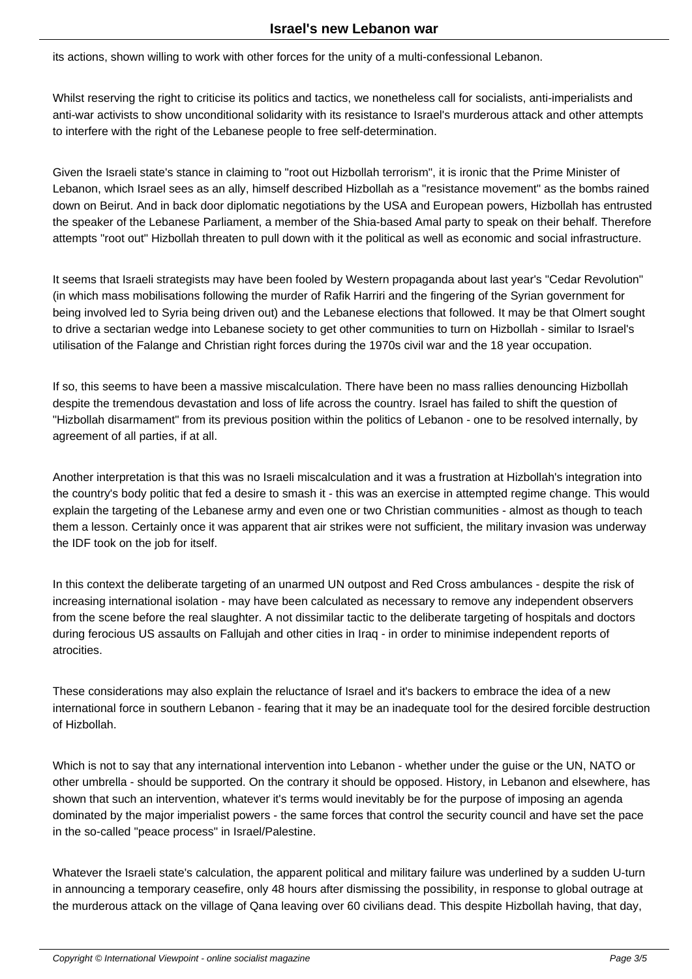its actions, shown willing to work with other forces for the unity of a multi-confessional Lebanon.

Whilst reserving the right to criticise its politics and tactics, we nonetheless call for socialists, anti-imperialists and anti-war activists to show unconditional solidarity with its resistance to Israel's murderous attack and other attempts to interfere with the right of the Lebanese people to free self-determination.

Given the Israeli state's stance in claiming to "root out Hizbollah terrorism", it is ironic that the Prime Minister of Lebanon, which Israel sees as an ally, himself described Hizbollah as a "resistance movement" as the bombs rained down on Beirut. And in back door diplomatic negotiations by the USA and European powers, Hizbollah has entrusted the speaker of the Lebanese Parliament, a member of the Shia-based Amal party to speak on their behalf. Therefore attempts "root out" Hizbollah threaten to pull down with it the political as well as economic and social infrastructure.

It seems that Israeli strategists may have been fooled by Western propaganda about last year's "Cedar Revolution" (in which mass mobilisations following the murder of Rafik Harriri and the fingering of the Syrian government for being involved led to Syria being driven out) and the Lebanese elections that followed. It may be that Olmert sought to drive a sectarian wedge into Lebanese society to get other communities to turn on Hizbollah - similar to Israel's utilisation of the Falange and Christian right forces during the 1970s civil war and the 18 year occupation.

If so, this seems to have been a massive miscalculation. There have been no mass rallies denouncing Hizbollah despite the tremendous devastation and loss of life across the country. Israel has failed to shift the question of "Hizbollah disarmament" from its previous position within the politics of Lebanon - one to be resolved internally, by agreement of all parties, if at all.

Another interpretation is that this was no Israeli miscalculation and it was a frustration at Hizbollah's integration into the country's body politic that fed a desire to smash it - this was an exercise in attempted regime change. This would explain the targeting of the Lebanese army and even one or two Christian communities - almost as though to teach them a lesson. Certainly once it was apparent that air strikes were not sufficient, the military invasion was underway the IDF took on the job for itself.

In this context the deliberate targeting of an unarmed UN outpost and Red Cross ambulances - despite the risk of increasing international isolation - may have been calculated as necessary to remove any independent observers from the scene before the real slaughter. A not dissimilar tactic to the deliberate targeting of hospitals and doctors during ferocious US assaults on Fallujah and other cities in Iraq - in order to minimise independent reports of atrocities.

These considerations may also explain the reluctance of Israel and it's backers to embrace the idea of a new international force in southern Lebanon - fearing that it may be an inadequate tool for the desired forcible destruction of Hizbollah.

Which is not to say that any international intervention into Lebanon - whether under the guise or the UN, NATO or other umbrella - should be supported. On the contrary it should be opposed. History, in Lebanon and elsewhere, has shown that such an intervention, whatever it's terms would inevitably be for the purpose of imposing an agenda dominated by the major imperialist powers - the same forces that control the security council and have set the pace in the so-called "peace process" in Israel/Palestine.

Whatever the Israeli state's calculation, the apparent political and military failure was underlined by a sudden U-turn in announcing a temporary ceasefire, only 48 hours after dismissing the possibility, in response to global outrage at the murderous attack on the village of Qana leaving over 60 civilians dead. This despite Hizbollah having, that day,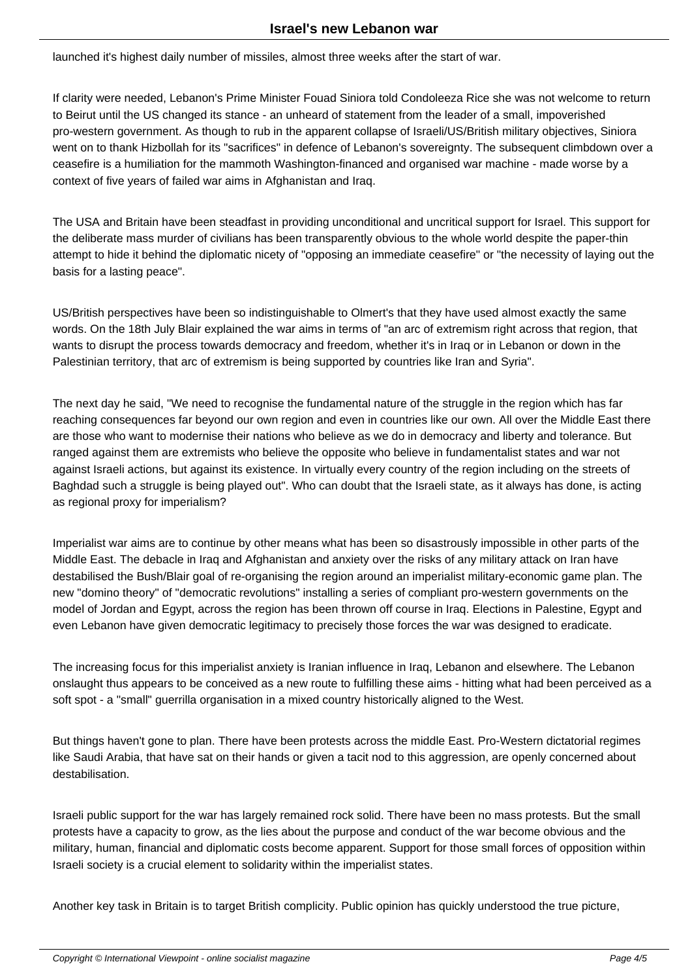launched it's highest daily number of missiles, almost three weeks after the start of war.

If clarity were needed, Lebanon's Prime Minister Fouad Siniora told Condoleeza Rice she was not welcome to return to Beirut until the US changed its stance - an unheard of statement from the leader of a small, impoverished pro-western government. As though to rub in the apparent collapse of Israeli/US/British military objectives, Siniora went on to thank Hizbollah for its "sacrifices" in defence of Lebanon's sovereignty. The subsequent climbdown over a ceasefire is a humiliation for the mammoth Washington-financed and organised war machine - made worse by a context of five years of failed war aims in Afghanistan and Iraq.

The USA and Britain have been steadfast in providing unconditional and uncritical support for Israel. This support for the deliberate mass murder of civilians has been transparently obvious to the whole world despite the paper-thin attempt to hide it behind the diplomatic nicety of "opposing an immediate ceasefire" or "the necessity of laying out the basis for a lasting peace".

US/British perspectives have been so indistinguishable to Olmert's that they have used almost exactly the same words. On the 18th July Blair explained the war aims in terms of "an arc of extremism right across that region, that wants to disrupt the process towards democracy and freedom, whether it's in Iraq or in Lebanon or down in the Palestinian territory, that arc of extremism is being supported by countries like Iran and Syria".

The next day he said, "We need to recognise the fundamental nature of the struggle in the region which has far reaching consequences far beyond our own region and even in countries like our own. All over the Middle East there are those who want to modernise their nations who believe as we do in democracy and liberty and tolerance. But ranged against them are extremists who believe the opposite who believe in fundamentalist states and war not against Israeli actions, but against its existence. In virtually every country of the region including on the streets of Baghdad such a struggle is being played out". Who can doubt that the Israeli state, as it always has done, is acting as regional proxy for imperialism?

Imperialist war aims are to continue by other means what has been so disastrously impossible in other parts of the Middle East. The debacle in Iraq and Afghanistan and anxiety over the risks of any military attack on Iran have destabilised the Bush/Blair goal of re-organising the region around an imperialist military-economic game plan. The new "domino theory" of "democratic revolutions" installing a series of compliant pro-western governments on the model of Jordan and Egypt, across the region has been thrown off course in Iraq. Elections in Palestine, Egypt and even Lebanon have given democratic legitimacy to precisely those forces the war was designed to eradicate.

The increasing focus for this imperialist anxiety is Iranian influence in Iraq, Lebanon and elsewhere. The Lebanon onslaught thus appears to be conceived as a new route to fulfilling these aims - hitting what had been perceived as a soft spot - a "small" guerrilla organisation in a mixed country historically aligned to the West.

But things haven't gone to plan. There have been protests across the middle East. Pro-Western dictatorial regimes like Saudi Arabia, that have sat on their hands or given a tacit nod to this aggression, are openly concerned about destabilisation.

Israeli public support for the war has largely remained rock solid. There have been no mass protests. But the small protests have a capacity to grow, as the lies about the purpose and conduct of the war become obvious and the military, human, financial and diplomatic costs become apparent. Support for those small forces of opposition within Israeli society is a crucial element to solidarity within the imperialist states.

Another key task in Britain is to target British complicity. Public opinion has quickly understood the true picture,